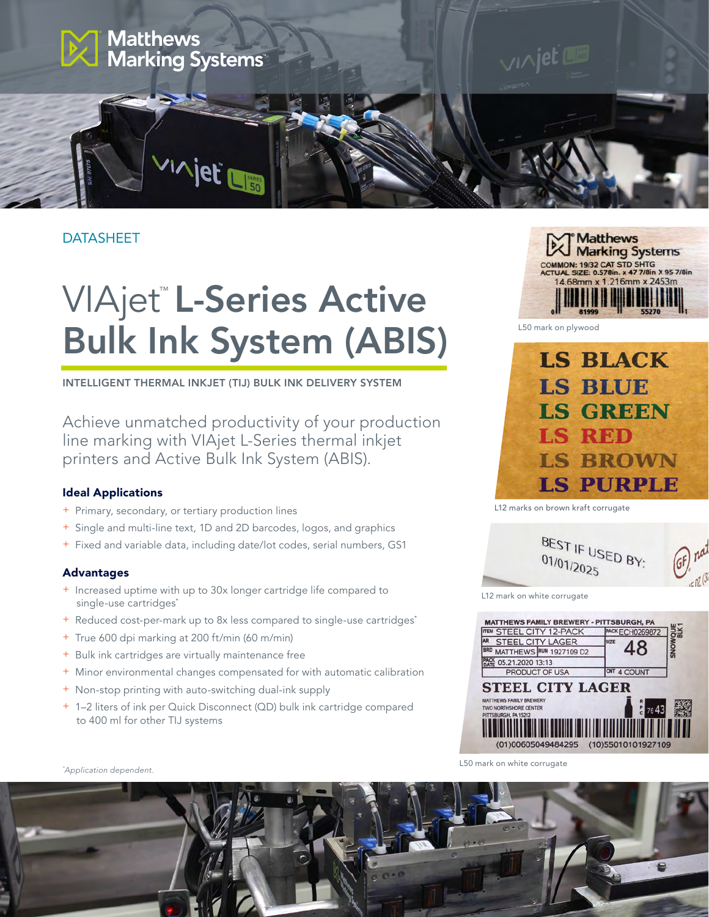

### DATASHEET

# VIAjet™L-Series Active Bulk Ink System (ABIS)

INTELLIGENT THERMAL INKJET (TIJ) BULK INK DELIVERY SYSTEM

Achieve unmatched productivity of your production line marking with VIAjet L-Series thermal inkjet printers and Active Bulk Ink System (ABIS).

#### Ideal Applications

- + Primary, secondary, or tertiary production lines
- + Single and multi-line text, 1D and 2D barcodes, logos, and graphics
- + Fixed and variable data, including date/lot codes, serial numbers, GS1

#### Advantages

- + Increased uptime with up to 30x longer cartridge life compared to single-use cartridges<sup>\*</sup>
- + Reduced cost-per-mark up to 8x less compared to single-use cartridges\*
- + True 600 dpi marking at 200 ft/min (60 m/min)
- + Bulk ink cartridges are virtually maintenance free
- + Minor environmental changes compensated for with automatic calibration
- + Non-stop printing with auto-switching dual-ink supply
- + 1–2 liters of ink per Quick Disconnect (QD) bulk ink cartridge compared to 400 ml for other TIJ systems



L50 mark on plywood



L12 marks on brown kraft corrugate



L12 mark on white corrugate



L50 mark on white corrugate